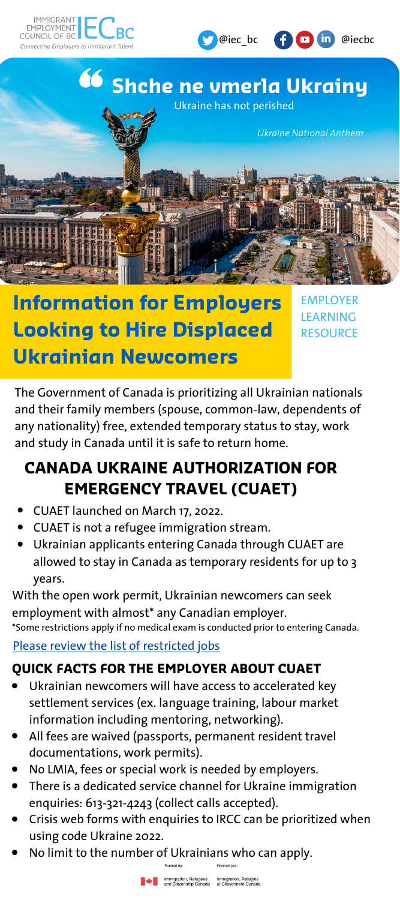



# **Information for Employers Looking to Hire Displaced Ukrainian Newcomers**

**EMPLOYER** LEARNING **RESOURCE** 

**C** @iec bc **C D In** @iecbc

The Government of Canada is prioritizing all Ukrainian nationals and their family members (spouse, common-law, dependents of any nationality) free, extended temporary status to stay, work and study in Canada until it is safe to return home.

## **CANADA UKRAINE AUTHORIZATION FOR EMERGENCY TRAVEL (CUAET)**

- CUAET launched on March 17, 2022.
- CUAET is not a refugee immigration stream.
- Ukrainian applicants entering Canada through CUAET are allowed to stay in Canada as temporary residents for up to 3 years.

With the open work permit, Ukrainian newcomers can seek employment with almost\* any Canadian employer. \*Some restrictions apply if no medical exam is conducted prior to entering Canada.

#### Please review the list of [restricted](https://www.canada.ca/en/immigration-refugees-citizenship/services/immigrate-canada/ukraine-measures/ukraine-open-work-permit.html) jobs

### **QUICK FACTS FOR THE EMPLOYER ABOUT CUAET**

- Ukrainian newcomers will have access to accelerated key settlement services (ex. language training, labour market information including mentoring, networking).
- All fees are waived (passports, permanent resident travel documentations, work permits).
- No LMIA, fees or special work is needed by employers.
- There is a dedicated service channel for Ukraine immigration enquiries: 613-321-4243 (collect calls accepted).
- Crisis web forms with enquiries to IRCC can be prioritized when using code Ukraine 2022.
- No limit to the number of Ukrainians who can apply.